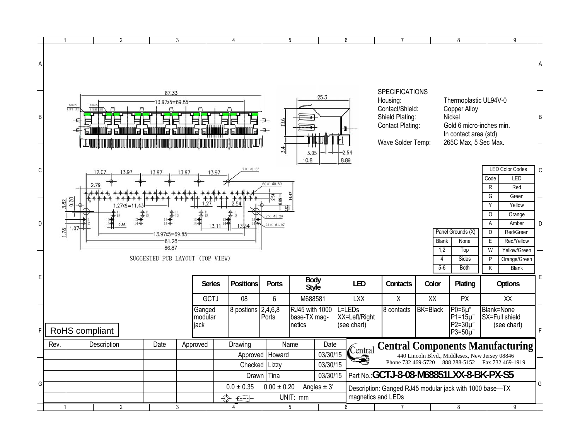|                | $\overline{1}$                                                                           |                                 | $\overline{2}$ |                                   | 3     |                           | 4                        |                                      | 5                                                  |  | 6                                                                                                   | $\overline{7}$                                                                                                                                                                                                                                   |                                                             | 8                                |                                           | 9                                                |   |
|----------------|------------------------------------------------------------------------------------------|---------------------------------|----------------|-----------------------------------|-------|---------------------------|--------------------------|--------------------------------------|----------------------------------------------------|--|-----------------------------------------------------------------------------------------------------|--------------------------------------------------------------------------------------------------------------------------------------------------------------------------------------------------------------------------------------------------|-------------------------------------------------------------|----------------------------------|-------------------------------------------|--------------------------------------------------|---|
| $\overline{A}$ |                                                                                          |                                 |                |                                   |       |                           |                          |                                      |                                                    |  |                                                                                                     |                                                                                                                                                                                                                                                  |                                                             |                                  |                                           |                                                  |   |
| B              |                                                                                          | <b>GREEN</b><br>GREE<br>LEFT LE |                | 87.33<br>3.97x5=69.85             | ы     |                           | 25.3<br>13.6             |                                      |                                                    |  |                                                                                                     | <b>SPECIFICATIONS</b><br>Thermoplastic UL94V-0<br>Housing:<br>Contact/Shield:<br>Copper Alloy<br>Shield Plating:<br>Nickel<br>Gold 6 micro-inches min.<br>Contact Plating:<br>In contact area (std)<br>Wave Solder Temp:<br>265C Max, 5 Sec Max. |                                                             |                                  |                                           |                                                  | B |
| lc.            |                                                                                          |                                 |                | 13.97                             | 13.97 | 13.97                     | $7\times$ $01.57$        | 3.4                                  | 3.05<br>10.8                                       |  | $-2.54$<br>8.89                                                                                     |                                                                                                                                                                                                                                                  |                                                             |                                  | Code                                      | <b>LED Color Codes</b><br>LED                    |   |
|                | $60 \times 0.89$<br>$\mathsf{R}$<br>G<br>Y<br>$.27x9 = 11$<br>O<br>$2\times$ $\phi$ 3.20 |                                 |                |                                   |       |                           |                          |                                      |                                                    |  |                                                                                                     |                                                                                                                                                                                                                                                  |                                                             | Red<br>Green<br>Yellow<br>Orange |                                           |                                                  |   |
| D              | 1.78                                                                                     | 1.07                            |                | 3.97x5=69.85<br>81.28<br>$-86.87$ |       |                           |                          | $24\times 01.07$                     |                                                    |  |                                                                                                     |                                                                                                                                                                                                                                                  | <b>Blank</b><br>1,2                                         | Panel Grounds (X)<br>None<br>Top | A<br>D<br>E<br>W                          | Amber<br>Red/Green<br>Red/Yellow<br>Yellow/Green |   |
| E              |                                                                                          |                                 |                | SUGGESTED PCB LAYOUT (TOP VIEW)   |       | <b>Series</b>             | <b>Positions</b>         | Ports                                | Body                                               |  | <b>LED</b>                                                                                          | Contacts                                                                                                                                                                                                                                         | $\overline{4}$<br>$5-6$<br>Color                            | Sides<br><b>Both</b><br>Plating  | P<br>K                                    | Orange/Green<br>Blank<br>Options                 |   |
|                |                                                                                          |                                 |                |                                   |       | GCTJ<br>Ganged<br>modular | 08<br>8 postions 2,4,6,8 | $6\phantom{a}$<br>Ports              | Style<br>M688581<br>RJ45 with 1000<br>base-TX mag- |  | <b>LXX</b><br>L=LEDs<br>XX=Left/Right                                                               | $\sf X$<br>8 contacts                                                                                                                                                                                                                            | XX<br>PX<br><b>BK=Black</b><br>$P0=6\mu$<br>$P1 = 15 \mu$ " |                                  | XX<br><b>Blank=None</b><br>SX=Full shield |                                                  |   |
| F              | RoHS compliant                                                                           |                                 |                |                                   |       | jack                      |                          |                                      | netics                                             |  | (see chart)                                                                                         |                                                                                                                                                                                                                                                  |                                                             | $P2=30\mu$ "<br>$P3=50\mu$ "     |                                           | (see chart)                                      |   |
|                | Rev.                                                                                     |                                 | Description    | Date                              |       | Approved                  | Drawing                  | Approved   Howard<br>Checked   Lizzy | Name<br>Date<br>03/30/15<br>03/30/15               |  | Central                                                                                             | <b>Central Components Manufacturing</b><br>440 Lincoln Blvd., Middlesex, New Jersey 08846<br>Phone 732 469-5720 888 288-5152 Fax 732 469-1919                                                                                                    |                                                             |                                  |                                           |                                                  |   |
| lG.            |                                                                                          |                                 |                |                                   |       |                           | $0.0 \pm 0.35$           | Drawn Tina<br>$0.00 \pm 0.20$        | 03/30/15<br>Angles $\pm$ 3'                        |  | Part No.: GCTJ-8-08-M68851LXX-8-BK-PX-S5<br>Description: Ganged RJ45 modular jack with 1000 base-TX |                                                                                                                                                                                                                                                  |                                                             |                                  |                                           |                                                  |   |
|                |                                                                                          |                                 | $\overline{2}$ |                                   | 3     |                           | ⇎<br>토마                  |                                      | UNIT: mm<br>5                                      |  | magnetics and LEDs<br>6                                                                             |                                                                                                                                                                                                                                                  |                                                             | 8                                |                                           | 9                                                |   |